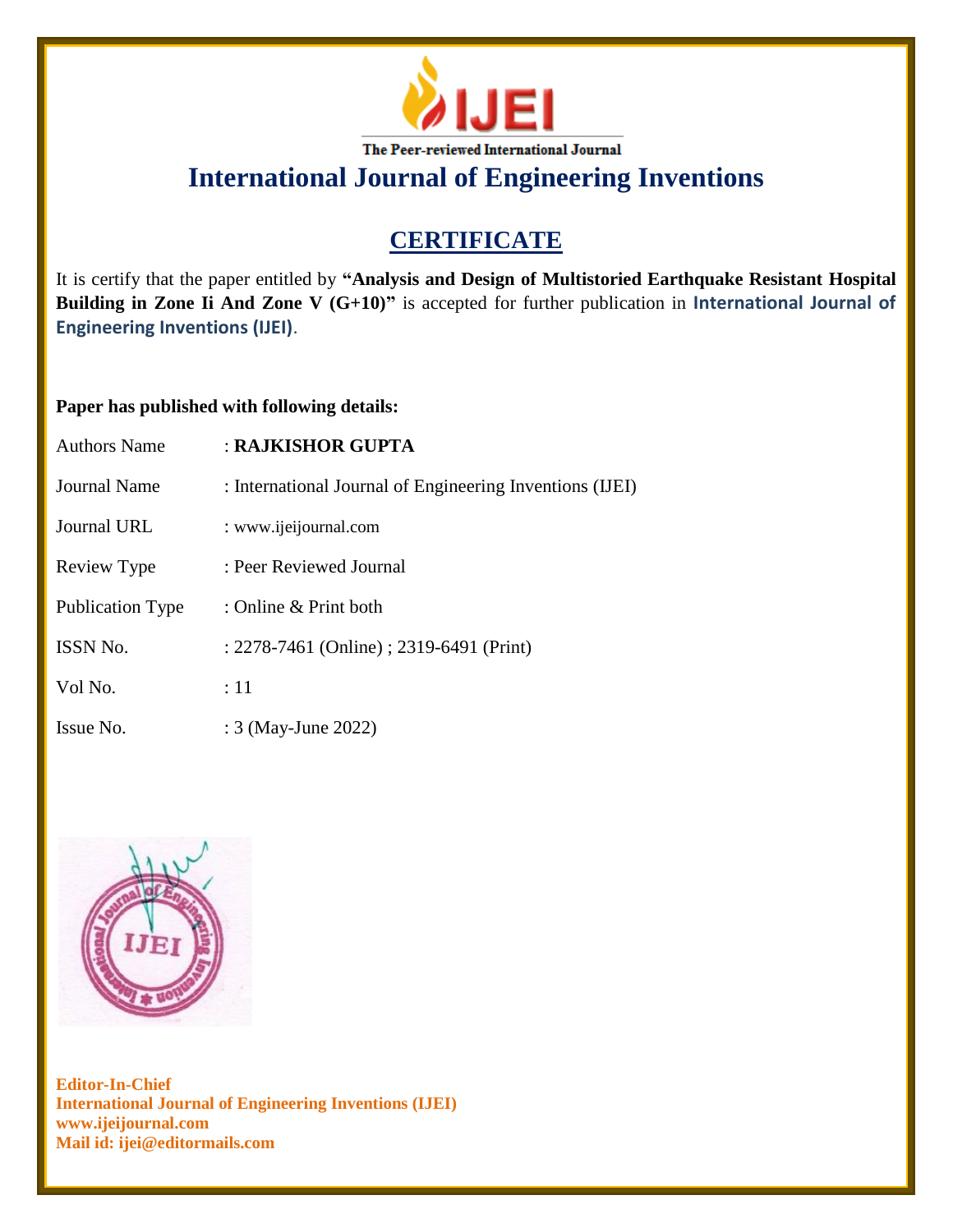

**International Journal of Engineering Inventions**

## **CERTIFICATE**

It is certify that the paper entitled by **"Analysis and Design of Multistoried Earthquake Resistant Hospital Building in Zone Ii And Zone V (G+10)"** is accepted for further publication in **International Journal of Engineering Inventions (IJEI)**.

### **Paper has published with following details:**

| <b>Authors Name</b>     | : RAJKISHOR GUPTA                                        |
|-------------------------|----------------------------------------------------------|
| Journal Name            | : International Journal of Engineering Inventions (IJEI) |
| Journal URL             | : www.ijeijournal.com                                    |
| Review Type             | : Peer Reviewed Journal                                  |
| <b>Publication Type</b> | : Online $&$ Print both                                  |
| <b>ISSN No.</b>         | : 2278-7461 (Online) ; 2319-6491 (Print)                 |
| Vol No.                 | :11                                                      |
| Issue No.               | : 3 (May-June 2022)                                      |



**Editor-In-Chief International Journal of Engineering Inventions (IJEI) www.ijeijournal.com Mail id: ijei@editormails.com**